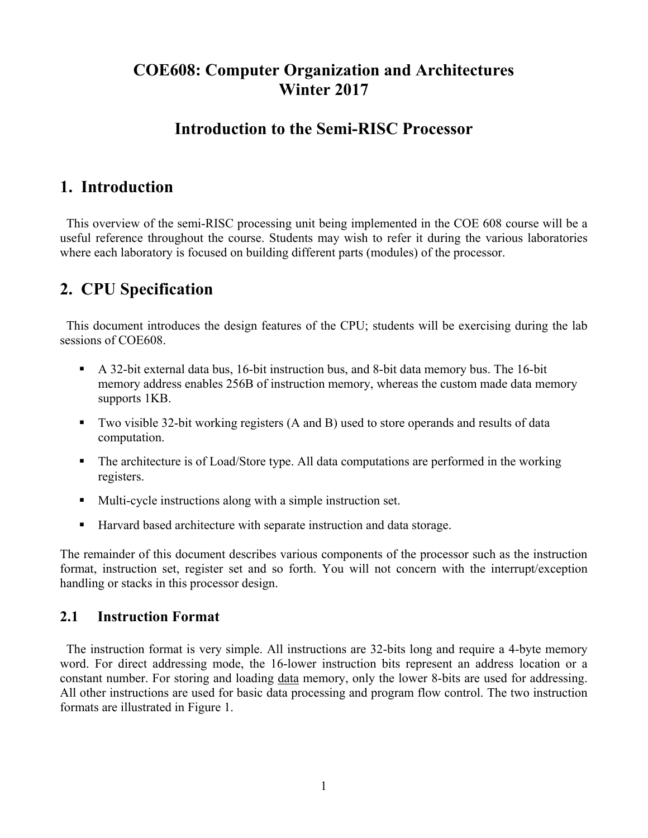## **COE608: Computer Organization and Architectures Winter 2017**

## **Introduction to the Semi-RISC Processor**

## **1. Introduction**

 This overview of the semi-RISC processing unit being implemented in the COE 608 course will be a useful reference throughout the course. Students may wish to refer it during the various laboratories where each laboratory is focused on building different parts (modules) of the processor.

# **2. CPU Specification**

 This document introduces the design features of the CPU; students will be exercising during the lab sessions of COE608

- A 32-bit external data bus, 16-bit instruction bus, and 8-bit data memory bus. The 16-bit memory address enables 256B of instruction memory, whereas the custom made data memory supports 1KB.
- Two visible 32-bit working registers (A and B) used to store operands and results of data computation.
- The architecture is of Load/Store type. All data computations are performed in the working registers.
- Multi-cycle instructions along with a simple instruction set.
- Harvard based architecture with separate instruction and data storage.

The remainder of this document describes various components of the processor such as the instruction format, instruction set, register set and so forth. You will not concern with the interrupt/exception handling or stacks in this processor design.

#### **2.1 Instruction Format**

 The instruction format is very simple. All instructions are 32-bits long and require a 4-byte memory word. For direct addressing mode, the 16-lower instruction bits represent an address location or a constant number. For storing and loading data memory, only the lower 8-bits are used for addressing. All other instructions are used for basic data processing and program flow control. The two instruction formats are illustrated in Figure 1.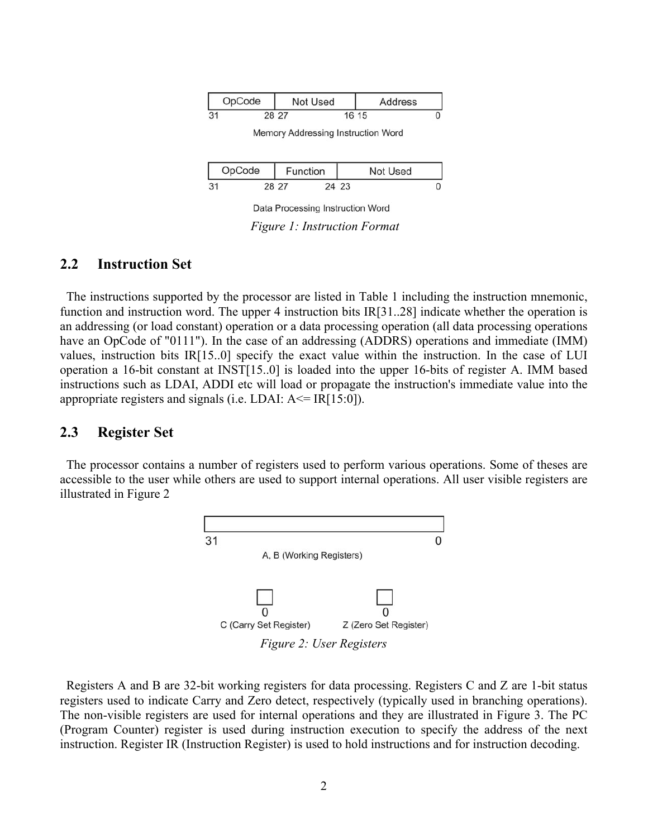| OpCode |       | Not Used |       | Address                                                                                                        |  |  |
|--------|-------|----------|-------|----------------------------------------------------------------------------------------------------------------|--|--|
| 31     | 28 27 |          | 16 15 |                                                                                                                |  |  |
|        | . .   |          |       | the contract the contract of the second contract of the second contract of the contract of the contract of the |  |  |

Memory Addressing Instruction Word

| OpCode |       | <b>Function</b> |       | Not Used |  |
|--------|-------|-----------------|-------|----------|--|
| 31     | 28 27 |                 | 24 23 |          |  |

Data Processing Instruction Word *Figure 1: Instruction Format* 

#### **2.2 Instruction Set**

 The instructions supported by the processor are listed in Table 1 including the instruction mnemonic, function and instruction word. The upper 4 instruction bits IR[31..28] indicate whether the operation is an addressing (or load constant) operation or a data processing operation (all data processing operations have an OpCode of "0111"). In the case of an addressing (ADDRS) operations and immediate (IMM) values, instruction bits IR[15..0] specify the exact value within the instruction. In the case of LUI operation a 16-bit constant at INST[15..0] is loaded into the upper 16-bits of register A. IMM based instructions such as LDAI, ADDI etc will load or propagate the instruction's immediate value into the appropriate registers and signals (i.e. LDAI:  $A \leq IR[15:0]$ ).

#### **2.3 Register Set**

 The processor contains a number of registers used to perform various operations. Some of theses are accessible to the user while others are used to support internal operations. All user visible registers are illustrated in Figure 2



 Registers A and B are 32-bit working registers for data processing. Registers C and Z are 1-bit status registers used to indicate Carry and Zero detect, respectively (typically used in branching operations). The non-visible registers are used for internal operations and they are illustrated in Figure 3. The PC (Program Counter) register is used during instruction execution to specify the address of the next instruction. Register IR (Instruction Register) is used to hold instructions and for instruction decoding.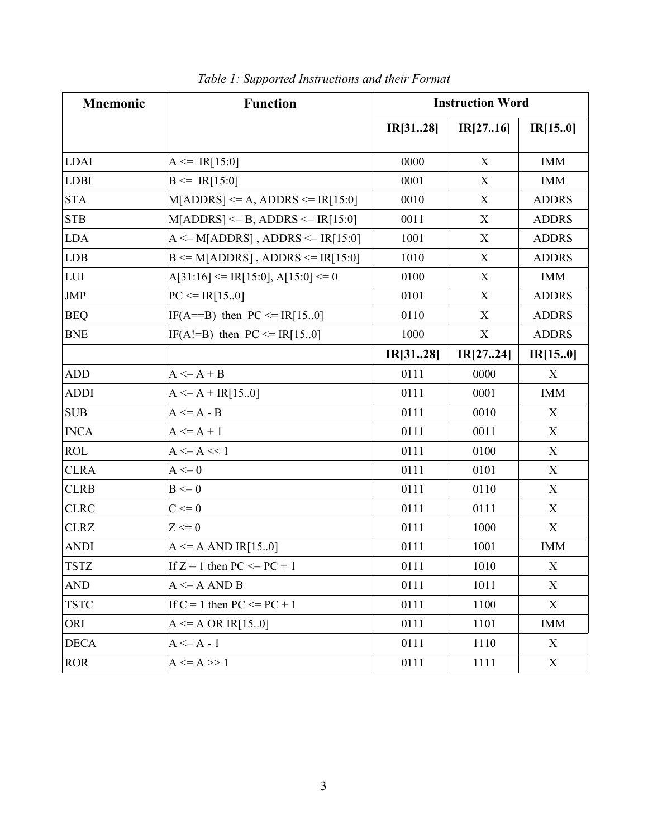| <b>Mnemonic</b> | <b>Function</b>                           | <b>Instruction Word</b> |          |              |
|-----------------|-------------------------------------------|-------------------------|----------|--------------|
|                 |                                           | IR[3128]                | IR[2716] | IR[150]      |
| <b>LDAI</b>     | $A \leq IR[15:0]$                         | 0000                    | X        | <b>IMM</b>   |
| <b>LDBI</b>     | $B \leq IR[15:0]$                         | 0001                    | X        | <b>IMM</b>   |
| <b>STA</b>      | $M[ADDRS] \leq A$ , ADDRS $\leq IR[15:0]$ | 0010                    | X        | <b>ADDRS</b> |
| <b>STB</b>      | $M[ADDRS] \leq B$ , ADDRS $\leq IR[15:0]$ | 0011                    | X        | <b>ADDRS</b> |
| <b>LDA</b>      | $A \leq M[ADDRS]$ , ADDRS $\leq IR[15:0]$ | 1001                    | X        | <b>ADDRS</b> |
| <b>LDB</b>      | $B \leq M[ADDRS]$ , ADDRS $\leq IR[15:0]$ | 1010                    | X        | <b>ADDRS</b> |
| <b>LUI</b>      | $A[31:16] \leq IR[15:0], A[15:0] \leq 0$  | 0100                    | X        | <b>IMM</b>   |
| <b>JMP</b>      | $PC \leq IR[150]$                         | 0101                    | X        | <b>ADDRS</b> |
| <b>BEQ</b>      | IF(A==B) then $PC \le IR[150]$            | 0110                    | X        | <b>ADDRS</b> |
| <b>BNE</b>      | IF(A!=B) then $PC \le IR[150]$            | 1000                    | X        | <b>ADDRS</b> |
|                 |                                           | IR[3128]                | IR[2724] | IR[15.0]     |
| <b>ADD</b>      | $A \leq A + B$                            | 0111                    | 0000     | X            |
| <b>ADDI</b>     | $A \leq A + IR[150]$                      | 0111                    | 0001     | <b>IMM</b>   |
| <b>SUB</b>      | $A \leq A - B$                            | 0111                    | 0010     | X            |
| <b>INCA</b>     | $A \leq A + 1$                            | 0111                    | 0011     | X            |
| <b>ROL</b>      | $A \leq A \leq 1$                         | 0111                    | 0100     | X            |
| <b>CLRA</b>     | $A \leq 0$                                | 0111                    | 0101     | X            |
| <b>CLRB</b>     | $B \le 0$                                 | 0111                    | 0110     | X            |
| <b>CLRC</b>     | $C \le 0$                                 | 0111                    | 0111     | X            |
| <b>CLRZ</b>     | $Z \le 0$                                 | 0111                    | 1000     | X            |
| <b>ANDI</b>     | $A \leq A AND IR[15.0]$                   | 0111                    | 1001     | <b>IMM</b>   |
| <b>TSTZ</b>     | If $Z = 1$ then PC $\leq P C + 1$         | 0111                    | 1010     | X            |
| <b>AND</b>      | $A \leq A AND B$                          | 0111                    | 1011     | X            |
| <b>TSTC</b>     | If $C = 1$ then $PC \le PC + 1$           | 0111                    | 1100     | X            |
| ORI             | $A \leq A$ OR IR[150]                     | 0111                    | 1101     | <b>IMM</b>   |
| <b>DECA</b>     | $A \leq A - 1$                            | 0111                    | 1110     | X            |
| <b>ROR</b>      | $A \leq A \gg 1$                          | 0111                    | 1111     | X            |

*Table 1: Supported Instructions and their Format*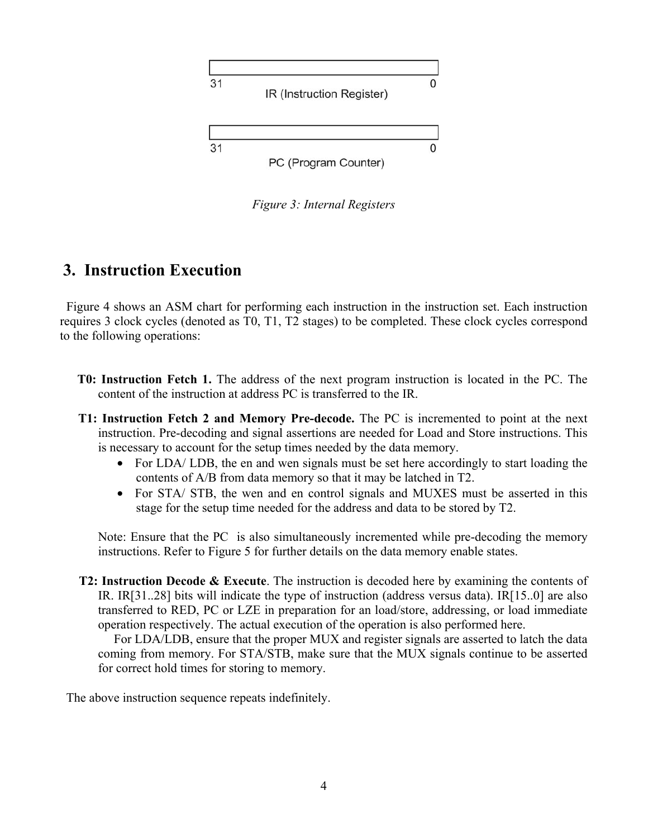

*Figure 3: Internal Registers* 

### **3. Instruction Execution**

 Figure 4 shows an ASM chart for performing each instruction in the instruction set. Each instruction requires 3 clock cycles (denoted as T0, T1, T2 stages) to be completed. These clock cycles correspond to the following operations:

- **T0: Instruction Fetch 1.** The address of the next program instruction is located in the PC. The content of the instruction at address PC is transferred to the IR.
- **T1: Instruction Fetch 2 and Memory Pre-decode.** The PC is incremented to point at the next instruction. Pre-decoding and signal assertions are needed for Load and Store instructions. This is necessary to account for the setup times needed by the data memory.
	- For LDA/ LDB, the en and wen signals must be set here accordingly to start loading the contents of A/B from data memory so that it may be latched in T2.
	- For STA/ STB, the wen and en control signals and MUXES must be asserted in this stage for the setup time needed for the address and data to be stored by T2.

Note: Ensure that the PC is also simultaneously incremented while pre-decoding the memory instructions. Refer to Figure 5 for further details on the data memory enable states.

**T2: Instruction Decode & Execute**. The instruction is decoded here by examining the contents of IR. IR[31..28] bits will indicate the type of instruction (address versus data). IR[15..0] are also transferred to RED, PC or LZE in preparation for an load/store, addressing, or load immediate operation respectively. The actual execution of the operation is also performed here.

 For LDA/LDB, ensure that the proper MUX and register signals are asserted to latch the data coming from memory. For STA/STB, make sure that the MUX signals continue to be asserted for correct hold times for storing to memory.

The above instruction sequence repeats indefinitely.